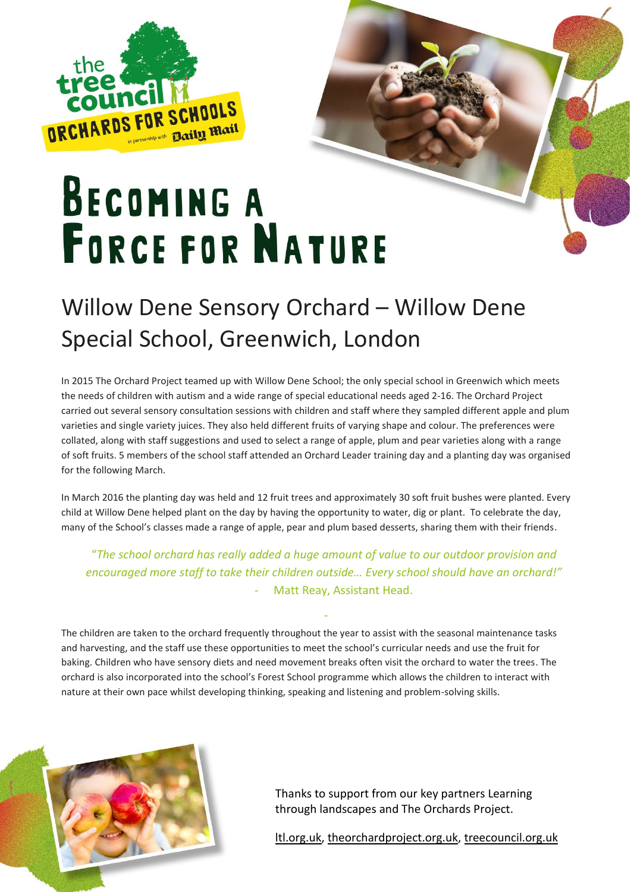

## **BECOMING A FORCE FOR NATURE**

## Willow Dene Sensory Orchard – Willow Dene Special School, Greenwich, London

In 2015 The Orchard Project teamed up with Willow Dene School; the only special school in Greenwich which meets the needs of children with autism and a wide range of special educational needs aged 2-16. The Orchard Project carried out several sensory consultation sessions with children and staff where they sampled different apple and plum varieties and single variety juices. They also held different fruits of varying shape and colour. The preferences were collated, along with staff suggestions and used to select a range of apple, plum and pear varieties along with a range of soft fruits. 5 members of the school staff attended an Orchard Leader training day and a planting day was organised for the following March.

In March 2016 the planting day was held and 12 fruit trees and approximately 30 soft fruit bushes were planted. Every child at Willow Dene helped plant on the day by having the opportunity to water, dig or plant. To celebrate the day, many of the School's classes made a range of apple, pear and plum based desserts, sharing them with their friends.

"*The school orchard has really added a huge amount of value to our outdoor provision and encouraged more staff to take their children outside… Every school should have an orchard!"* - Matt Reay, Assistant Head.

-

The children are taken to the orchard frequently throughout the year to assist with the seasonal maintenance tasks and harvesting, and the staff use these opportunities to meet the school's curricular needs and use the fruit for baking. Children who have sensory diets and need movement breaks often visit the orchard to water the trees. The orchard is also incorporated into the school's Forest School programme which allows the children to interact with nature at their own pace whilst developing thinking, speaking and listening and problem-solving skills.



Thanks to support from our key partners Learning through landscapes and The Orchards Project.

[ltl.org.uk,](https://www.ltl.org.uk/) [theorchardproject.org.uk,](https://www.theorchardproject.org.uk/) [treecouncil.org.uk](https://treecouncil.org.uk/)